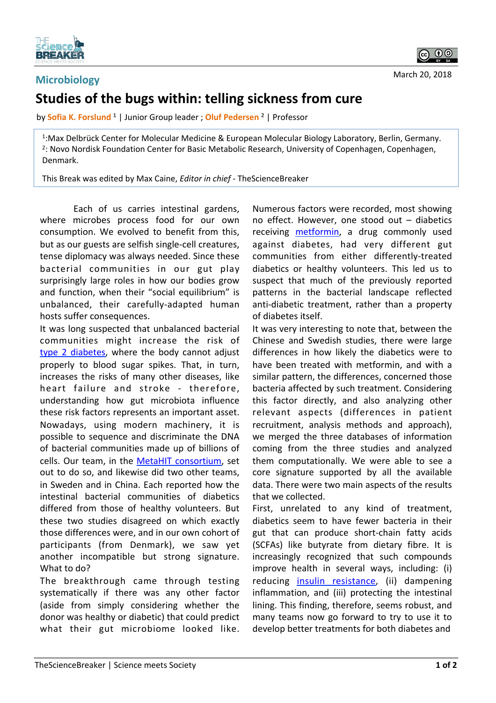

## **Microbiology Studies of the bugs within: telling sickness from cure**

by **Sofia K. Forslund** <sup>1</sup> | Junior Group leader ; **Oluf Pedersen** <sup>2</sup> | Professor

<sup>1</sup>: Max Delbrück Center for Molecular Medicine & European Molecular Biology Laboratory, Berlin, Germany. <sup>2</sup>: Novo Nordisk Foundation Center for Basic Metabolic Research, University of Copenhagen, Copenhagen, Denmark. 

This Break was edited by Max Caine, *Editor in chief* - TheScienceBreaker

Each of us carries intestinal gardens, where microbes process food for our own consumption. We evolved to benefit from this, but as our guests are selfish single-cell creatures, tense diplomacy was always needed. Since these bacterial communities in our gut play surprisingly large roles in how our bodies grow and function, when their "social equilibrium" is unbalanced, their carefully-adapted human hosts suffer consequences.

It was long suspected that unbalanced bacterial communities might increase the risk of type 2 diabetes, where the body cannot adjust properly to blood sugar spikes. That, in turn, increases the risks of many other diseases, like heart failure and stroke - therefore, understanding how gut microbiota influence these risk factors represents an important asset. Nowadays, using modern machinery, it is possible to sequence and discriminate the DNA of bacterial communities made up of billions of cells. Our team, in the MetaHIT consortium, set out to do so, and likewise did two other teams, in Sweden and in China. Each reported how the intestinal bacterial communities of diabetics differed from those of healthy volunteers. But these two studies disagreed on which exactly those differences were, and in our own cohort of participants (from Denmark), we saw yet another incompatible but strong signature. What to do?

The breakthrough came through testing systematically if there was any other factor (aside from simply considering whether the donor was healthy or diabetic) that could predict what their gut microbiome looked like. Numerous factors were recorded, most showing no effect. However, one stood out  $-$  diabetics receiving **metformin**, a drug commonly used against diabetes, had very different gut communities from either differently-treated diabetics or healthy volunteers. This led us to suspect that much of the previously reported patterns in the bacterial landscape reflected anti-diabetic treatment, rather than a property of diabetes itself. 

It was very interesting to note that, between the Chinese and Swedish studies, there were large differences in how likely the diabetics were to have been treated with metformin, and with a similar pattern, the differences, concerned those bacteria affected by such treatment. Considering this factor directly, and also analyzing other relevant aspects (differences in patient recruitment, analysis methods and approach), we merged the three databases of information coming from the three studies and analyzed them computationally. We were able to see a core signature supported by all the available data. There were two main aspects of the results that we collected.

First, unrelated to any kind of treatment, diabetics seem to have fewer bacteria in their gut that can produce short-chain fatty acids (SCFAs) like butyrate from dietary fibre. It is increasingly recognized that such compounds improve health in several ways, including: (i) reducing insulin resistance, (ii) dampening inflammation, and (iii) protecting the intestinal lining. This finding, therefore, seems robust, and many teams now go forward to try to use it to develop better treatments for both diabetes and